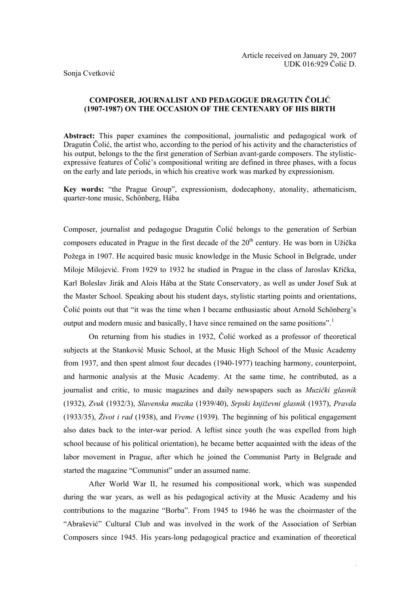Sonja Cvetković

# **COMPOSER, JOURNALIST AND PEDAGOGUE DRAGUTIN ČOLIĆ (1907-1987) ON THE OCCASION OF THE CENTENARY OF HIS BIRTH**

**Abstract:** This paper examines the compositional, journalistic and pedagogical work of Dragutin Čolić, the artist who, according to the period of his activity and the characteristics of his output, belongs to the the first generation of Serbian avant-garde composers. The stylisticexpressive features of Čolić's compositional writing are defined in three phases, with a focus on the early and late periods, in which his creative work was marked by expressionism.

**Key words:** "the Prague Group", expressionism, dodecaphony, atonality, athematicism, quarter-tone music, Schönberg, Hába

Composer, journalist and pedagogue Dragutin Čolić belongs to the generation of Serbian composers educated in Prague in the first decade of the  $20<sup>th</sup>$  century. He was born in Užička Požega in 1907. He acquired basic music knowledge in the Music School in Belgrade, under Miloje Milojević. From 1929 to 1932 he studied in Prague in the class of Jaroslav Křička, Karl Boleslav Jirák and Alois Hába at the State Conservatory, as well as under Josef Suk at the Master School. Speaking about his student days, stylistic starting points and orientations, Čolić points out that "it was the time when I became enthusiastic about Arnold Schönberg's output and modern music and basically, I have since remained on the same positions".

 On returning from his studies in 1932, Čolić worked as a professor of theoretical subjects at the Stanković Music School, at the Music High School of the Music Academy from 1937, and then spent almost four decades (1940-1977) teaching harmony, counterpoint, and harmonic analysis at the Music Academy. At the same time, he contributed, as a journalist and critic, to music magazines and daily newspapers such as *Muzički glasnik*  (1932), *Zvuk* (1932/3), *Slavenska muzika* (1939/40), *Srpski književni glasnik* (1937), *Pravda* (1933/35), *Život i rad* (1938), and *Vreme* (1939). The beginning of his political engagement also dates back to the inter-war period. A leftist since youth (he was expelled from high school because of his political orientation), he became better acquainted with the ideas of the labor movement in Prague, after which he joined the Communist Party in Belgrade and started the magazine "Communist" under an assumed name.

 After World War II, he resumed his compositional work, which was suspended during the war years, as well as his pedagogical activity at the Music Academy and his contributions to the magazine "Borba". From 1945 to 1946 he was the choirmaster of the "Abrašević" Cultural Club and was involved in the work of the Association of Serbian Composers since 1945. His years-long pedagogical practice and examination of theoretical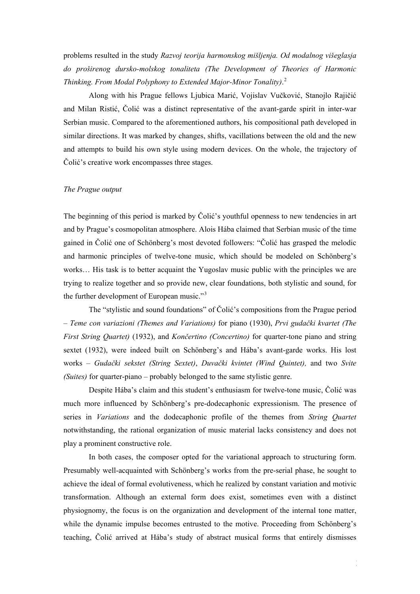problems resulted in the study *Razvoj teorija harmonskog mišljenja. Od modalnog višeglasja do proširenog dursko-molskog tonaliteta (The Development of Theories of Harmonic Thinking. From Modal Polyphony to Extended Major-Minor Tonality)*. [2](#page-11-1)

 Along with his Prague fellows Ljubica Marić, Vojislav Vučković, Stanojlo Rajičić and Milan Ristić, Čolić was a distinct representative of the avant-garde spirit in inter-war Serbian music. Compared to the aforementioned authors, his compositional path developed in similar directions. It was marked by changes, shifts, vacillations between the old and the new and attempts to build his own style using modern devices. On the whole, the trajectory of Čolić's creative work encompasses three stages.

## *The Prague output*

The beginning of this period is marked by Čolić's youthful openness to new tendencies in art and by Prague's cosmopolitan atmosphere. Alois Hába claimed that Serbian music of the time gained in Čolić one of Schönberg's most devoted followers: "Čolić has grasped the melodic and harmonic principles of twelve-tone music, which should be modeled on Schönberg's works… His task is to better acquaint the Yugoslav music public with the principles we are trying to realize together and so provide new, clear foundations, both stylistic and sound, for the further development of European music."[3](#page-11-1)

 The "stylistic and sound foundations" of Čolić's compositions from the Prague period – *Teme con variazioni (Themes and Variations)* for piano (1930), *Prvi gudački kvartet (The First String Quartet)* (1932), and *Končertino (Concertino)* for quarter-tone piano and string sextet (1932), were indeed built on Schönberg's and Hába's avant-garde works. His lost works – *Gudački sekstet (String Sextet)*, *Duvački kvintet (Wind Quintet),* and two *Svite (Suites)* for quarter-piano – probably belonged to the same stylistic genre.

 Despite Hába's claim and this student's enthusiasm for twelve-tone music, Čolić was much more influenced by Schönberg's pre-dodecaphonic expressionism. The presence of series in *Variations* and the dodecaphonic profile of the themes from *String Quartet* notwithstanding, the rational organization of music material lacks consistency and does not play a prominent constructive role.

 In both cases, the composer opted for the variational approach to structuring form. Presumably well-acquainted with Schönberg's works from the pre-serial phase, he sought to achieve the ideal of formal evolutiveness, which he realized by constant variation and motivic transformation. Although an external form does exist, sometimes even with a distinct physiognomy, the focus is on the organization and development of the internal tone matter, while the dynamic impulse becomes entrusted to the motive. Proceeding from Schönberg's teaching, Čolić arrived at Hába's study of abstract musical forms that entirely dismisses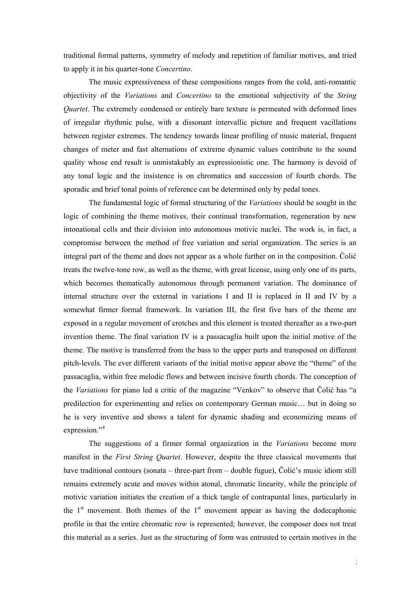traditional formal patterns, symmetry of melody and repetition of familiar motives, and tried to apply it in his quarter-tone *Concertino*.

 The music expressiveness of these compositions ranges from the cold, anti-romantic objectivity of the *Variations* and *Concertino* to the emotional subjectivity of the *String Quartet*. The extremely condensed or entirely bare texture is permeated with deformed lines of irregular rhythmic pulse, with a dissonant intervallic picture and frequent vacillations between register extremes. The tendency towards linear profiling of music material, frequent changes of meter and fast alternations of extreme dynamic values contribute to the sound quality whose end result is unmistakably an expressionistic one. The harmony is devoid of any tonal logic and the insistence is on chromatics and succession of fourth chords. The sporadic and brief tonal points of reference can be determined only by pedal tones.

 The fundamental logic of formal structuring of the *Variations* should be sought in the logic of combining the theme motives, their continual transformation, regeneration by new intonational cells and their division into autonomous motivic nuclei. The work is, in fact, a compromise between the method of free variation and serial organization. The series is an integral part of the theme and does not appear as a whole further on in the composition. Čolić treats the twelve-tone row, as well as the theme, with great license, using only one of its parts, which becomes thematically autonomous through permanent variation. The dominance of internal structure over the external in variations I and II is replaced in II and IV by a somewhat firmer formal framework. In variation III, the first five bars of the theme are exposed in a regular movement of crotches and this element is treated thereafter as a two-part invention theme. The final variation IV is a passacaglia built upon the initial motive of the theme. The motive is transferred from the bass to the upper parts and transposed on different pitch-levels. The ever different variants of the initial motive appear above the "theme" of the passacaglia, within free melodic flows and between incisive fourth chords. The conception of the *Variations* for piano led a critic of the magazine "Venkov" to observe that Čolić has "a predilection for experimenting and relies on contemporary German music… but in doing so he is very inventive and shows a talent for dynamic shading and economizing means of expression."<sup>[4](#page-11-1)</sup>

 The suggestions of a firmer formal organization in the *Variations* become more manifest in the *First String Quartet*. However, despite the three classical movements that have traditional contours (sonata – three-part from – double fugue), Čolić's music idiom still remains extremely acute and moves within atonal, chromatic linearity, while the principle of motivic variation initiates the creation of a thick tangle of contrapuntal lines, particularly in the  $1<sup>st</sup>$  movement. Both themes of the  $1<sup>st</sup>$  movement appear as having the dodecaphonic profile in that the entire chromatic row is represented; however, the composer does not treat this material as a series. Just as the structuring of form was entrusted to certain motives in the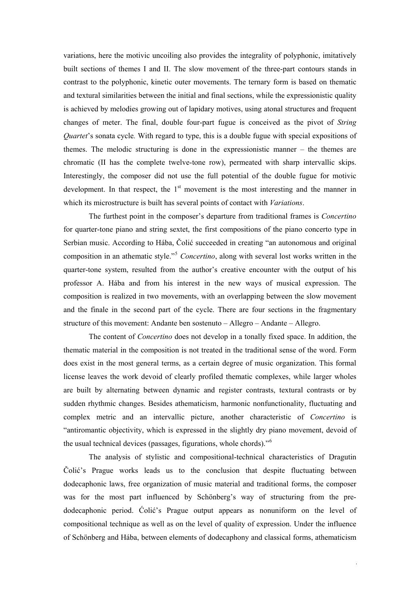variations, here the motivic uncoiling also provides the integrality of polyphonic, imitatively built sections of themes I and II. The slow movement of the three-part contours stands in contrast to the polyphonic, kinetic outer movements. The ternary form is based on thematic and textural similarities between the initial and final sections, while the expressionistic quality is achieved by melodies growing out of lapidary motives, using atonal structures and frequent changes of meter. The final, double four-part fugue is conceived as the pivot of *String Quartet*'s sonata cycle. With regard to type, this is a double fugue with special expositions of themes. The melodic structuring is done in the expressionistic manner – the themes are chromatic (II has the complete twelve-tone row), permeated with sharp intervallic skips. Interestingly, the composer did not use the full potential of the double fugue for motivic development. In that respect, the  $1<sup>st</sup>$  movement is the most interesting and the manner in which its microstructure is built has several points of contact with *Variations*.

 The furthest point in the composer's departure from traditional frames is *Concertino* for quarter-tone piano and string sextet, the first compositions of the piano concerto type in Serbian music. According to Hába, Čolić succeeded in creating "an autonomous and original composition in an athematic style."[5](#page-11-1) *Concertino*, along with several lost works written in the quarter-tone system, resulted from the author's creative encounter with the output of his professor A. Hába and from his interest in the new ways of musical expression. The composition is realized in two movements, with an overlapping between the slow movement and the finale in the second part of the cycle. There are four sections in the fragmentary structure of this movement: Andante ben sostenuto – Allegro – Andante – Allegro.

 The content of *Concertino* does not develop in a tonally fixed space. In addition, the thematic material in the composition is not treated in the traditional sense of the word. Form does exist in the most general terms, as a certain degree of music organization. This formal license leaves the work devoid of clearly profiled thematic complexes, while larger wholes are built by alternating between dynamic and register contrasts, textural contrasts or by sudden rhythmic changes. Besides athematicism, harmonic nonfunctionality, fluctuating and complex metric and an intervallic picture, another characteristic of *Concertino* is "antiromantic objectivity, which is expressed in the slightly dry piano movement, devoid of the usual technical devices (passages, figurations, whole chords)."[6](#page-11-1)

 The analysis of stylistic and compositional-technical characteristics of Dragutin Čolić's Prague works leads us to the conclusion that despite fluctuating between dodecaphonic laws, free organization of music material and traditional forms, the composer was for the most part influenced by Schönberg's way of structuring from the predodecaphonic period. Ćolić's Prague output appears as nonuniform on the level of compositional technique as well as on the level of quality of expression. Under the influence of Schönberg and Hába, between elements of dodecaphony and classical forms, athematicism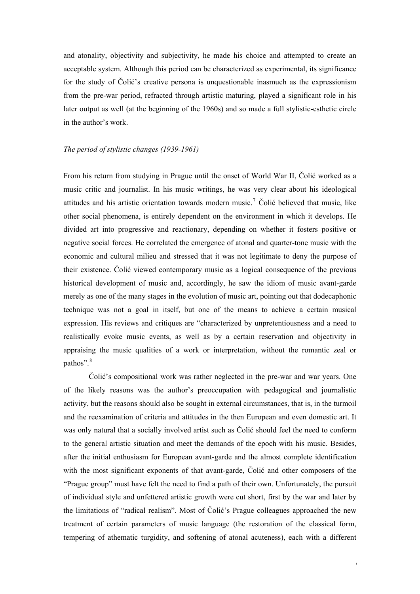and atonality, objectivity and subjectivity, he made his choice and attempted to create an acceptable system. Although this period can be characterized as experimental, its significance for the study of Čolić's creative persona is unquestionable inasmuch as the expressionism from the pre-war period, refracted through artistic maturing, played a significant role in his later output as well (at the beginning of the 1960s) and so made a full stylistic-esthetic circle in the author's work.

### *The period of stylistic changes (1939-1961)*

From his return from studying in Prague until the onset of World War II, Čolić worked as a music critic and journalist. In his music writings, he was very clear about his ideological attitudes and his artistic orientation towards modern music.[7](#page-11-1) Čolić believed that music, like other social phenomena, is entirely dependent on the environment in which it develops. He divided art into progressive and reactionary, depending on whether it fosters positive or negative social forces. He correlated the emergence of atonal and quarter-tone music with the economic and cultural milieu and stressed that it was not legitimate to deny the purpose of their existence. Čolić viewed contemporary music as a logical consequence of the previous historical development of music and, accordingly, he saw the idiom of music avant-garde merely as one of the many stages in the evolution of music art, pointing out that dodecaphonic technique was not a goal in itself, but one of the means to achieve a certain musical expression. His reviews and critiques are "characterized by unpretentiousness and a need to realistically evoke music events, as well as by a certain reservation and objectivity in appraising the music qualities of a work or interpretation, without the romantic zeal or pathos".<sup>[8](#page-11-1)</sup>

Čolić's compositional work was rather neglected in the pre-war and war years. One of the likely reasons was the author's preoccupation with pedagogical and journalistic activity, but the reasons should also be sought in external circumstances, that is, in the turmoil and the reexamination of criteria and attitudes in the then European and even domestic art. It was only natural that a socially involved artist such as Čolić should feel the need to conform to the general artistic situation and meet the demands of the epoch with his music. Besides, after the initial enthusiasm for European avant-garde and the almost complete identification with the most significant exponents of that avant-garde, Colić and other composers of the "Prague group" must have felt the need to find a path of their own. Unfortunately, the pursuit of individual style and unfettered artistic growth were cut short, first by the war and later by the limitations of "radical realism". Most of Čolić's Prague colleagues approached the new treatment of certain parameters of music language (the restoration of the classical form, tempering of athematic turgidity, and softening of atonal acuteness), each with a different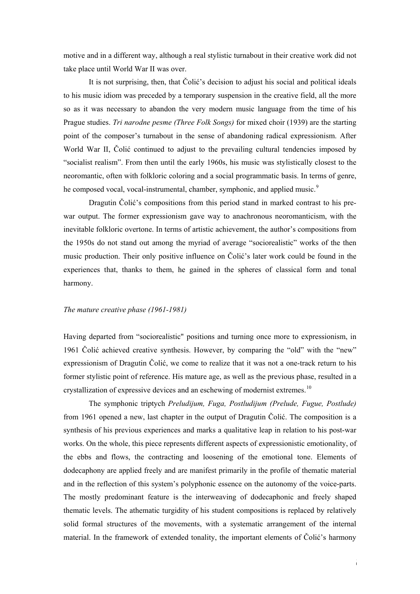motive and in a different way, although a real stylistic turnabout in their creative work did not take place until World War II was over.

 It is not surprising, then, that Čolić's decision to adjust his social and political ideals to his music idiom was preceded by a temporary suspension in the creative field, all the more so as it was necessary to abandon the very modern music language from the time of his Prague studies. *Tri narodne pesme (Three Folk Songs)* for mixed choir (1939) are the starting point of the composer's turnabout in the sense of abandoning radical expressionism. After World War II, Čolić continued to adjust to the prevailing cultural tendencies imposed by "socialist realism". From then until the early 1960s, his music was stylistically closest to the neoromantic, often with folkloric coloring and a social programmatic basis. In terms of genre, he composed vocal, vocal-instrumental, chamber, symphonic, and applied music.<sup>[9](#page-11-1)</sup>

 Dragutin Čolić's compositions from this period stand in marked contrast to his prewar output. The former expressionism gave way to anachronous neoromanticism, with the inevitable folkloric overtone. In terms of artistic achievement, the author's compositions from the 1950s do not stand out among the myriad of average "sociorealistic" works of the then music production. Their only positive influence on Čolić's later work could be found in the experiences that, thanks to them, he gained in the spheres of classical form and tonal harmony.

#### *The mature creative phase (1961-1981)*

Having departed from "sociorealistic" positions and turning once more to expressionism, in 1961 Čolić achieved creative synthesis. However, by comparing the "old" with the "new" expressionism of Dragutin Čolić, we come to realize that it was not a one-track return to his former stylistic point of reference. His mature age, as well as the previous phase, resulted in a crystallization of expressive devices and an eschewing of modernist extremes.<sup>[10](#page-11-1)</sup>

 The symphonic triptych *Preludijum, Fuga, Postludijum (Prelude, Fugue, Postlude)* from 1961 opened a new, last chapter in the output of Dragutin Čolić. The composition is a synthesis of his previous experiences and marks a qualitative leap in relation to his post-war works. On the whole, this piece represents different aspects of expressionistic emotionality, of the ebbs and flows, the contracting and loosening of the emotional tone. Elements of dodecaphony are applied freely and are manifest primarily in the profile of thematic material and in the reflection of this system's polyphonic essence on the autonomy of the voice-parts. The mostly predominant feature is the interweaving of dodecaphonic and freely shaped thematic levels. The athematic turgidity of his student compositions is replaced by relatively solid formal structures of the movements, with a systematic arrangement of the internal material. In the framework of extended tonality, the important elements of Čolić's harmony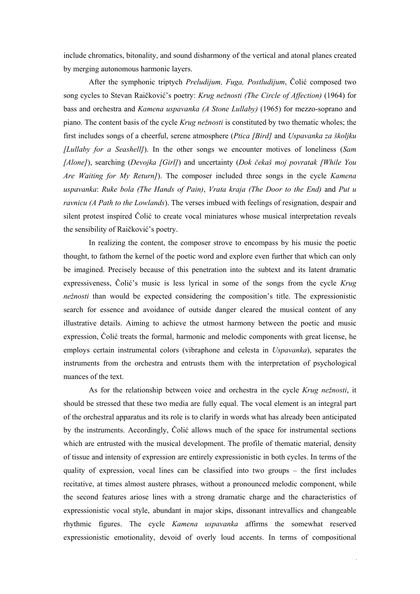include chromatics, bitonality, and sound disharmony of the vertical and atonal planes created by merging autonomous harmonic layers.

 After the symphonic triptych *Preludijum, Fuga, Postludijum*, Čolić composed two song cycles to Stevan Raičković's poetry: *Krug nežnosti (The Circle of Affection)* (1964) for bass and orchestra and *Kamena uspavanka (A Stone Lullaby)* (1965) for mezzo-soprano and piano. The content basis of the cycle *Krug nežnosti* is constituted by two thematic wholes; the first includes songs of a cheerful, serene atmosphere (*Ptica [Bird]* and *Uspavanka za školjku [Lullaby for a Seashell]*). In the other songs we encounter motives of loneliness (*Sam [Alone]*), searching (*Devojka [Girl]*) and uncertainty (*Dok čekaš moj povratak [While You Are Waiting for My Return]*). The composer included three songs in the cycle *Kamena uspavanka*: *Ruke bola (The Hands of Pain)*, *Vrata kraja (The Door to the End)* and *Put u ravnicu (A Path to the Lowlands*). The verses imbued with feelings of resignation, despair and silent protest inspired Čolić to create vocal miniatures whose musical interpretation reveals the sensibility of Raičković's poetry.

 In realizing the content, the composer strove to encompass by his music the poetic thought, to fathom the kernel of the poetic word and explore even further that which can only be imagined. Precisely because of this penetration into the subtext and its latent dramatic expressiveness, Čolić's music is less lyrical in some of the songs from the cycle *Krug nežnosti* than would be expected considering the composition's title. The expressionistic search for essence and avoidance of outside danger cleared the musical content of any illustrative details. Aiming to achieve the utmost harmony between the poetic and music expression, Čolić treats the formal, harmonic and melodic components with great license, he employs certain instrumental colors (vibraphone and celesta in *Uspavanka*), separates the instruments from the orchestra and entrusts them with the interpretation of psychological nuances of the text.

 As for the relationship between voice and orchestra in the cycle *Krug nežnosti*, it should be stressed that these two media are fully equal. The vocal element is an integral part of the orchestral apparatus and its role is to clarify in words what has already been anticipated by the instruments. Accordingly, Čolić allows much of the space for instrumental sections which are entrusted with the musical development. The profile of thematic material, density of tissue and intensity of expression are entirely expressionistic in both cycles. In terms of the quality of expression, vocal lines can be classified into two groups – the first includes recitative, at times almost austere phrases, without a pronounced melodic component, while the second features ariose lines with a strong dramatic charge and the characteristics of expressionistic vocal style, abundant in major skips, dissonant intrevallics and changeable rhythmic figures. The cycle *Kamena uspavanka* affirms the somewhat reserved expressionistic emotionality, devoid of overly loud accents. In terms of compositional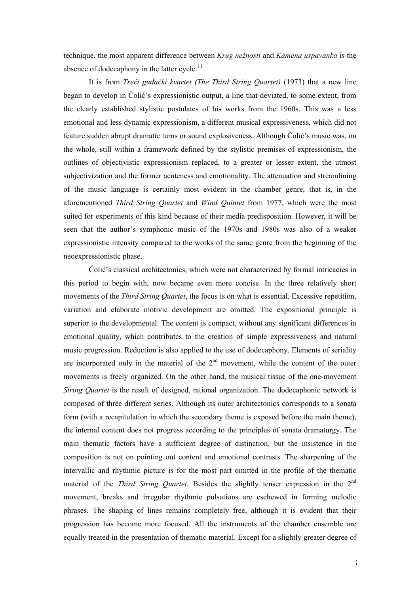technique, the most apparent difference between *Krug nežnosti* and *Kamena uspavanka* is the absence of dodecaphony in the latter cycle.<sup>[11](#page-11-1)</sup>

 It is from *Treći gudački kvartet (The Third String Quartet)* (1973) that a new line began to develop in Čolić's expressionistic output, a line that deviated, to some extent, from the clearly established stylistic postulates of his works from the 1960s. This was a less emotional and less dynamic expressionism, a different musical expressiveness, which did not feature sudden abrupt dramatic turns or sound explosiveness. Although Čolić's music was, on the whole, still within a framework defined by the stylistic premises of expressionism, the outlines of objectivistic expressionism replaced, to a greater or lesser extent, the utmost subjectivization and the former acuteness and emotionality. The attenuation and streamlining of the music language is certainly most evident in the chamber genre, that is, in the aforementioned *Third String Quartet* and *Wind Quintet* from 1977, which were the most suited for experiments of this kind because of their media predisposition. However, it will be seen that the author's symphonic music of the 1970s and 1980s was also of a weaker expressionistic intensity compared to the works of the same genre from the beginning of the neoexpressionistic phase.

Čolić's classical architectonics, which were not characterized by formal intricacies in this period to begin with, now became even more concise. In the three relatively short movements of the *Third String Quartet*, the focus is on what is essential. Excessive repetition, variation and elaborate motivic development are omitted. The expositional principle is superior to the developmental. The content is compact, without any significant differences in emotional quality, which contributes to the creation of simple expressiveness and natural music progression. Reduction is also applied to the use of dodecaphony. Elements of seriality are incorporated only in the material of the  $2<sup>nd</sup>$  movement, while the content of the outer movements is freely organized. On the other hand, the musical tissue of the one-movement *String Quartet* is the result of designed, rational organization. The dodecaphonic network is composed of three different series. Although its outer architectonics corresponds to a sonata form (with a recapitulation in which the secondary theme is exposed before the main theme), the internal content does not progress according to the principles of sonata dramaturgy. The main thematic factors have a sufficient degree of distinction, but the insistence in the composition is not on pointing out content and emotional contrasts. The sharpening of the intervallic and rhythmic picture is for the most part omitted in the profile of the thematic material of the *Third String Quartet*. Besides the slightly tenser expression in the 2nd movement, breaks and irregular rhythmic pulsations are eschewed in forming melodic phrases. The shaping of lines remains completely free, although it is evident that their progression has become more focused. All the instruments of the chamber ensemble are equally treated in the presentation of thematic material. Except for a slightly greater degree of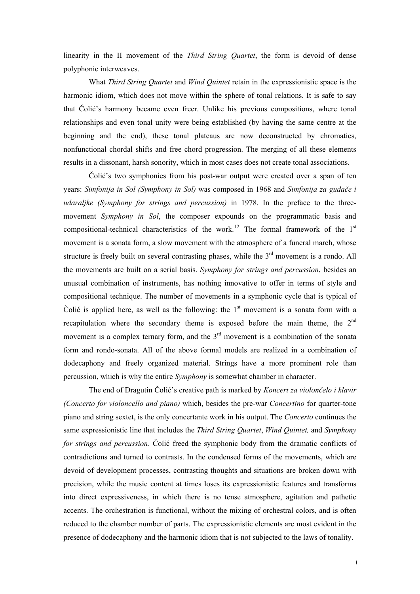linearity in the II movement of the *Third String Quartet*, the form is devoid of dense polyphonic interweaves.

 What *Third String Quartet* and *Wind Quintet* retain in the expressionistic space is the harmonic idiom, which does not move within the sphere of tonal relations. It is safe to say that Čolić's harmony became even freer. Unlike his previous compositions, where tonal relationships and even tonal unity were being established (by having the same centre at the beginning and the end), these tonal plateaus are now deconstructed by chromatics, nonfunctional chordal shifts and free chord progression. The merging of all these elements results in a dissonant, harsh sonority, which in most cases does not create tonal associations.

Čolić's two symphonies from his post-war output were created over a span of ten years: *Simfonija in Sol (Symphony in Sol)* was composed in 1968 and *Simfonija za gudače i udaraljke (Symphony for strings and percussion)* in 1978. In the preface to the threemovement *Symphony in Sol*, the composer expounds on the programmatic basis and compositional-technical characteristics of the work.<sup>[12](#page-11-1)</sup> The formal framework of the  $1<sup>st</sup>$ movement is a sonata form, a slow movement with the atmosphere of a funeral march, whose structure is freely built on several contrasting phases, while the  $3<sup>rd</sup>$  movement is a rondo. All the movements are built on a serial basis. *Symphony for strings and percussion*, besides an unusual combination of instruments, has nothing innovative to offer in terms of style and compositional technique. The number of movements in a symphonic cycle that is typical of Čolić is applied here, as well as the following: the  $1<sup>st</sup>$  movement is a sonata form with a recapitulation where the secondary theme is exposed before the main theme, the 2<sup>nd</sup> movement is a complex ternary form, and the  $3<sup>rd</sup>$  movement is a combination of the sonata form and rondo-sonata. All of the above formal models are realized in a combination of dodecaphony and freely organized material. Strings have a more prominent role than percussion, which is why the entire *Symphony* is somewhat chamber in character.

 The end of Dragutin Čolić's creative path is marked by *Koncert za violončelo i klavir (Concerto for violoncello and piano)* which, besides the pre-war *Concertino* for quarter-tone piano and string sextet, is the only concertante work in his output. The *Concerto* continues the same expressionistic line that includes the *Third String Quartet*, *Wind Quintet,* and *Symphony for strings and percussion*. Čolić freed the symphonic body from the dramatic conflicts of contradictions and turned to contrasts. In the condensed forms of the movements, which are devoid of development processes, contrasting thoughts and situations are broken down with precision, while the music content at times loses its expressionistic features and transforms into direct expressiveness, in which there is no tense atmosphere, agitation and pathetic accents. The orchestration is functional, without the mixing of orchestral colors, and is often reduced to the chamber number of parts. The expressionistic elements are most evident in the presence of dodecaphony and the harmonic idiom that is not subjected to the laws of tonality.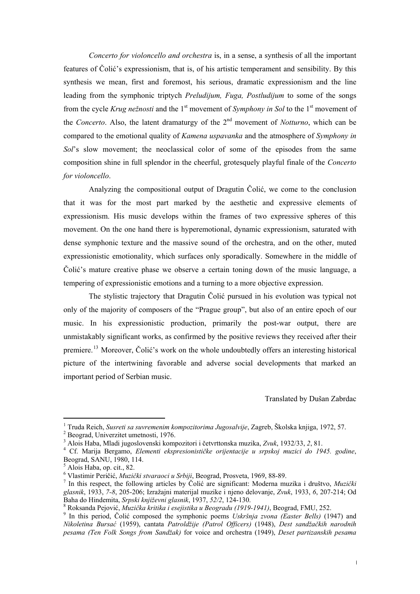*Concerto for violoncello and orchestra* is, in a sense, a synthesis of all the important features of Čolić's expressionism, that is, of his artistic temperament and sensibility. By this synthesis we mean, first and foremost, his serious, dramatic expressionism and the line leading from the symphonic triptych *Preludijum, Fuga, Postludijum* to some of the songs from the cycle *Krug nežnosti* and the 1<sup>st</sup> movement of *Symphony in Sol* to the 1<sup>st</sup> movement of the *Concerto*. Also, the latent dramaturgy of the 2<sup>nd</sup> movement of *Notturno*, which can be compared to the emotional quality of *Kamena uspavanka* and the atmosphere of *Symphony in Sol*'s slow movement; the neoclassical color of some of the episodes from the same composition shine in full splendor in the cheerful, grotesquely playful finale of the *Concerto for violoncello*.

 Analyzing the compositional output of Dragutin Čolić, we come to the conclusion that it was for the most part marked by the aesthetic and expressive elements of expressionism. His music develops within the frames of two expressive spheres of this movement. On the one hand there is hyperemotional, dynamic expressionism, saturated with dense symphonic texture and the massive sound of the orchestra, and on the other, muted expressionistic emotionality, which surfaces only sporadically. Somewhere in the middle of Čolić's mature creative phase we observe a certain toning down of the music language, a tempering of expressionistic emotions and a turning to a more objective expression.

 The stylistic trajectory that Dragutin Čolić pursued in his evolution was typical not only of the majority of composers of the "Prague group", but also of an entire epoch of our music. In his expressionistic production, primarily the post-war output, there are unmistakably significant works, as confirmed by the positive reviews they received after their premiere.<sup>[13](#page-11-1)</sup> Moreover, Čolić's work on the whole undoubtedly offers an interesting historical picture of the intertwining favorable and adverse social developments that marked an important period of Serbian music.

Translated by Dušan Zabrdac

-

<sup>&</sup>lt;sup>1</sup> Truda Reich, *Susreti sa suvremenim kompozitorima Jugosalvije*, Zagreb, Školska knjiga, 1972, 57.<br><sup>2</sup> Peograd Universitet umotnosti, 1976.

Beograd, Univerzitet umetnosti, 1976.

<sup>3</sup> Alois Haba, Mladi jugoslovenski kompozitori i četvrttonska muzika, *Zvuk*, 1932/33, *2*, 81. 4

Cf. Marija Bergamo, *Elementi ekspresionističke orijentacije u srpskoj muzici do 1945. godine*, Beograd, SANU, 1980, 114.

<sup>5</sup> Alois Haba, op. cit., 82.

<sup>6</sup> Vlastimir Peričić, *Muzički stvaraoci u Srbiji*, Beograd, Prosveta, 1969, 88-89. 7

In this respect, the following articles by Čolić are significant: Moderna muzika i društvo, *Muzički glasnik*, 1933, *7-8*, 205-206; Izražajni materijal muzike i njeno delovanje, *Zvuk*, 1933, *6*, 207-214; Od Baha do Hindemita, *Srpski književni glasnik*, 1937, *52/2*, 124-130. 8

Roksanda Pejović, *Muzička kritika i esejistika u Beogradu (1919-1941)*, Beograd, FMU, 252. 9

<sup>&</sup>lt;sup>9</sup> In this period, Čolić composed the symphonic poems *Uskršnja zvona (Easter Bells)* (1947) and *Nikoletina Bursać* (1959), cantata *Patroldžije (Patrol Officers)* (1948), *Dest sandžačkih narodnih pesama (Ten Folk Songs from Sandžak)* for voice and orchestra (1949), *Deset partizanskih pesama*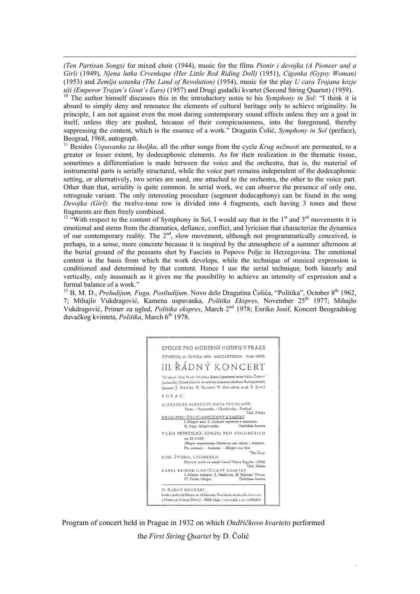*(Ten Partisan Songs)* for mixed choir (1944), music for the films *Pionir i devojka (A Pioneer and a Girl)* (1949), *Njena lutka Crvenkapa (Her Little Red Riding Doll)* (1951), *Ciganka (Gypsy Woman)* (1953) and *Zemlja ustanka (The Land of Revolution)* (1954), music for the play *U cara Trojana kozje* 

-

*uši (Emperor Trajan's Goat's Ears)* (1957) and Drugi gudački kvartet (Second String Quartet) (1959).<br><sup>10</sup> The author himself discusses this in the introductory notes to his *Symphony in Sol*: "I think it is absurd to simply deny and renounce the elements of cultural heritage only to achieve originality. In principle, I am not against even the most daring contemporary sound effects unless they are a goal in itself, unless they are pushed, because of their conspicuousness, into the foreground, thereby suppressing the content, which is the essence of a work." Dragutin Čolić, *Symphony in Sol* (preface), Beograd, 1968, autograph.

11 Besides *Uspavanka za školjku*, all the other songs from the cycle *Krug nežnosti* are permeated, to a greater or lesser extent, by dodecaphonic elements. As for their realization in the thematic tissue, sometimes a differentiation is made between the voice and the orchestra, that is, the material of instrumental parts is serially structured, while the voice part remains independent of the dodecaphonic setting, or alternatively, two series are used, one attached to the orchestra, the other to the voice part. Other than that, seriality is quite common. In serial work, we can observe the presence of only one, retrograde variant. The only interesting procedure (segment dodecaphony) can be found in the song *Devojka (Girl)*: the twelve-tone row is divided into 4 fragments, each having 3 tones and these fragments are then freely combined.

<sup>12</sup> "With respect to the content of Symphony in Sol, I would say that in the 1<sup>st</sup> and  $3<sup>rd</sup>$  movements it is emotional and stems from the dramatics, defiance, conflict, and lyricism that characterize the dynamics of our contemporary reality. The 2<sup>nd</sup>, slow movement, although not programmatically conceived, is perhaps, in a sense, more concrete because it is inspired by the atmosphere of a summer afternoon at the burial ground of the peasants shot by Fascists in Popovo Polje in Herzegovina. The emotional content is the basis from which the work develops, while the technique of musical expression is conditioned and determined by that content. Hence I use the serial technique, both linearly and vertically, only inasmuch as it gives me the possibility to achieve an intensity of expression and a formal balance of a work."

<sup>13</sup> B, M. D., *Preludijum, Fuga, Postludijum*. Novo delo Dragutina Čolića, "Politika", October 8<sup>th</sup> 1962, 7; Mihajlo Vukdragović, Kamena uspavanka, *Politika Ekspres*, November 25th 1977; Mihajlo Vukdragović, Primer za ugled, *Politika ekspres*, March 2nd 1978; Enriko Josif, Koncert Beogradskog duvačkog kvinteta, *Politika*, March 6<sup>th</sup> 1978.



Program of concert held in Prague in 1932 on which *Ondříčkovo kvarteto* performed the *First String Quartet* by D. Čolić